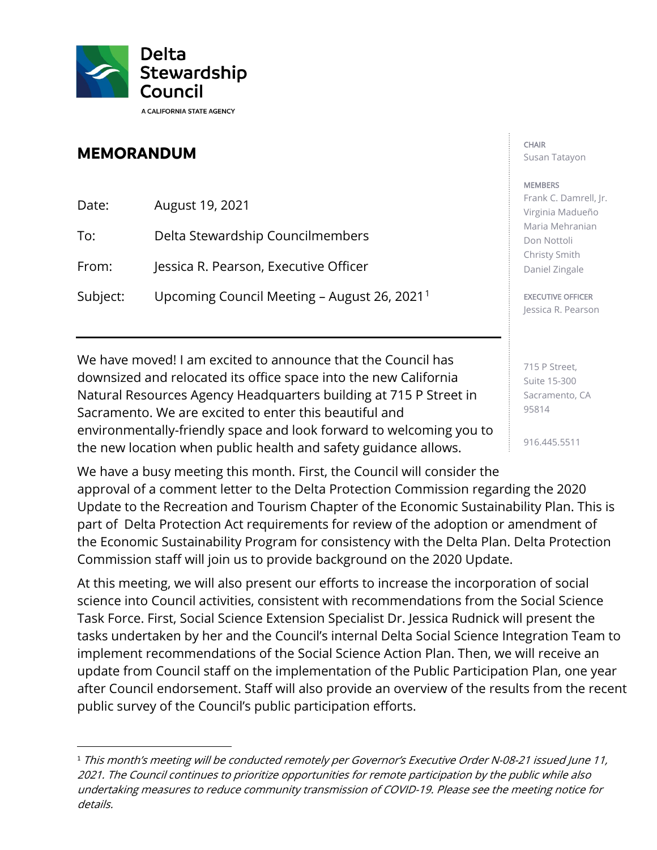

## **MEMORANDUM**

Date: August 19, 2021 To: Delta Stewardship Councilmembers From: Jessica R. Pearson, Executive Officer Subject: Upcoming Council Meeting – August 26, 2021[1](#page-0-0)

We have moved! I am excited to announce that the Council has downsized and relocated its office space into the new California Natural Resources Agency Headquarters building at 715 P Street in Sacramento. We are excited to enter this beautiful and environmentally-friendly space and look forward to welcoming you to the new location when public health and safety guidance allows.

We have a busy meeting this month. First, the Council will consider the approval of a comment letter to the Delta Protection Commission regarding the 2020 Update to the Recreation and Tourism Chapter of the Economic Sustainability Plan. This is part of Delta Protection Act requirements for review of the adoption or amendment of the Economic Sustainability Program for consistency with the Delta Plan. Delta Protection Commission staff will join us to provide background on the 2020 Update.

At this meeting, we will also present our efforts to increase the incorporation of social science into Council activities, consistent with recommendations from the Social Science Task Force. First, Social Science Extension Specialist Dr. Jessica Rudnick will present the tasks undertaken by her and the Council's internal Delta Social Science Integration Team to implement recommendations of the Social Science Action Plan. Then, we will receive an update from Council staff on the implementation of the Public Participation Plan, one year after Council endorsement. Staff will also provide an overview of the results from the recent public survey of the Council's public participation efforts.

## CHAIR Susan Tatayon

## **MEMBERS**

Frank C. Damrell, Jr. Virginia Madueño Maria Mehranian Don Nottoli Christy Smith Daniel Zingale

EXECUTIVE OFFICER Jessica R. Pearson

715 P Street, Suite 15-300 Sacramento, CA 95814

916.445.5511

<span id="page-0-0"></span><sup>&</sup>lt;sup>1</sup> This month's meeting will be conducted remotely per Governor's Executive Order N-08-21 issued June 11, 2021. The Council continues to prioritize opportunities for remote participation by the public while also undertaking measures to reduce community transmission of COVID-19. Please see the meeting notice for details.